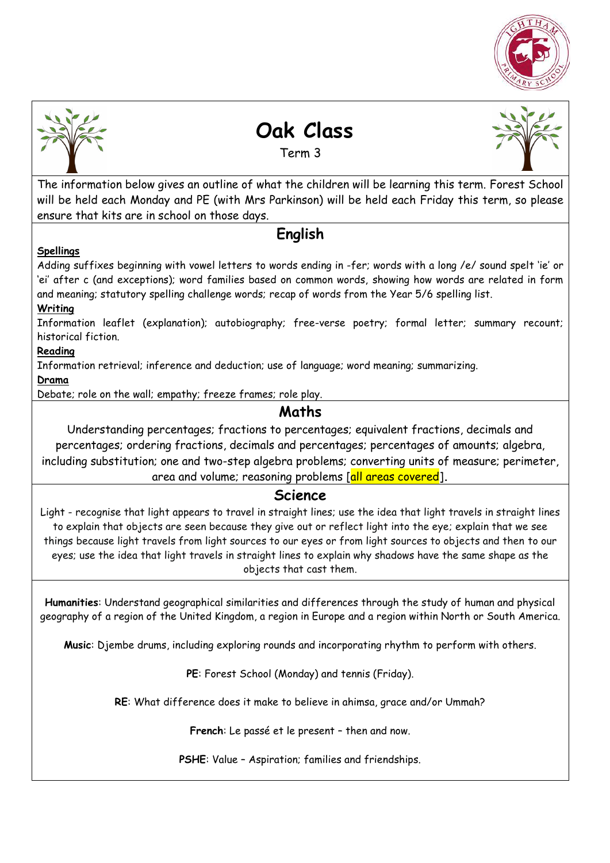



# **Oak Class**

Term 3



The information below gives an outline of what the children will be learning this term. Forest School will be held each Monday and PE (with Mrs Parkinson) will be held each Friday this term, so please ensure that kits are in school on those days.

## **English**

#### **Spellings**

Adding suffixes beginning with vowel letters to words ending in -fer; words with a long /e/ sound spelt 'ie' or 'ei' after c (and exceptions); word families based on common words, showing how words are related in form and meaning; statutory spelling challenge words; recap of words from the Year 5/6 spelling list.

#### **Writing**

Information leaflet (explanation); autobiography; free-verse poetry; formal letter; summary recount; historical fiction.

#### **Reading**

Information retrieval; inference and deduction; use of language; word meaning; summarizing.

#### **Drama**

Debate; role on the wall; empathy; freeze frames; role play.

## **Maths**

Understanding percentages; fractions to percentages; equivalent fractions, decimals and percentages; ordering fractions, decimals and percentages; percentages of amounts; algebra, including substitution; one and two-step algebra problems; converting units of measure; perimeter, area and volume; reasoning problems [all areas covered]**.** 

### **Science**

Light - recognise that light appears to travel in straight lines; use the idea that light travels in straight lines to explain that objects are seen because they give out or reflect light into the eye; explain that we see things because light travels from light sources to our eyes or from light sources to objects and then to our eyes; use the idea that light travels in straight lines to explain why shadows have the same shape as the objects that cast them.

**Humanities**: Understand geographical similarities and differences through the study of human and physical geography of a region of the United Kingdom, a region in Europe and a region within North or South America.

**Music**: Djembe drums, including exploring rounds and incorporating rhythm to perform with others.

**PE**: Forest School (Monday) and tennis (Friday).

**RE**: What difference does it make to believe in ahimsa, grace and/or Ummah?

**French**: Le passé et le present – then and now.

**PSHE**: Value – Aspiration; families and friendships.